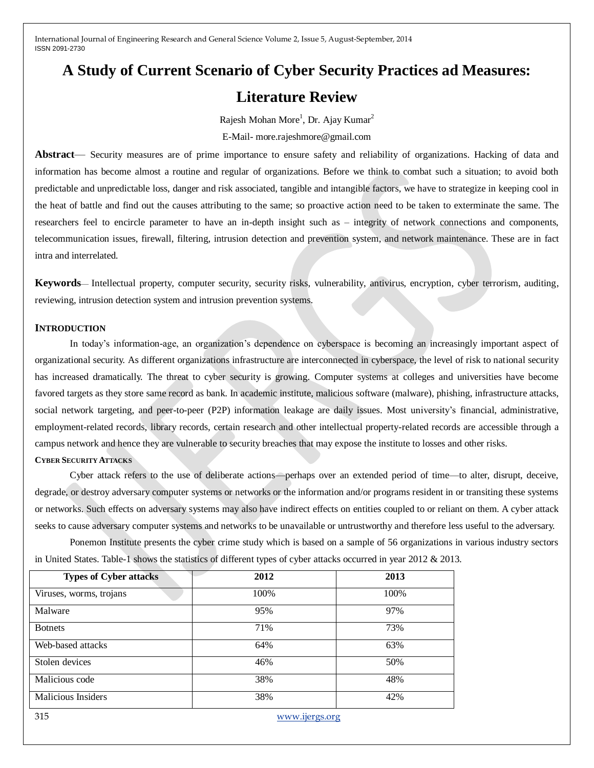# **A Study of Current Scenario of Cyber Security Practices ad Measures: Literature Review**

Rajesh Mohan More<sup>1</sup>, Dr. Ajay Kumar<sup>2</sup>

E-Mail- more.rajeshmore@gmail.com

**Abstract**— Security measures are of prime importance to ensure safety and reliability of organizations. Hacking of data and information has become almost a routine and regular of organizations. Before we think to combat such a situation; to avoid both predictable and unpredictable loss, danger and risk associated, tangible and intangible factors, we have to strategize in keeping cool in the heat of battle and find out the causes attributing to the same; so proactive action need to be taken to exterminate the same. The researchers feel to encircle parameter to have an in-depth insight such as – integrity of network connections and components, telecommunication issues, firewall, filtering, intrusion detection and prevention system, and network maintenance. These are in fact intra and interrelated.

**Keywords**— Intellectual property, computer security, security risks, vulnerability, antivirus, encryption, cyber terrorism, auditing, reviewing, intrusion detection system and intrusion prevention systems.

### **INTRODUCTION**

In today's information-age, an organization's dependence on cyberspace is becoming an increasingly important aspect of organizational security. As different organizations infrastructure are interconnected in cyberspace, the level of risk to national security has increased dramatically. The threat to cyber security is growing. Computer systems at colleges and universities have become favored targets as they store same record as bank. In academic institute, malicious software (malware), phishing, infrastructure attacks, social network targeting, and peer-to-peer (P2P) information leakage are daily issues. Most university's financial, administrative, employment-related records, library records, certain research and other intellectual property-related records are accessible through a campus network and hence they are vulnerable to security breaches that may expose the institute to losses and other risks. **CYBER SECURITY ATTACKS**

Cyber attack refers to the use of deliberate actions—perhaps over an extended period of time—to alter, disrupt, deceive, degrade, or destroy adversary computer systems or networks or the information and/or programs resident in or transiting these systems or networks. Such effects on adversary systems may also have indirect effects on entities coupled to or reliant on them. A cyber attack seeks to cause adversary computer systems and networks to be unavailable or untrustworthy and therefore less useful to the adversary.

Ponemon Institute presents the cyber crime study which is based on a sample of 56 organizations in various industry sectors in United States. Table-1 shows the statistics of different types of cyber attacks occurred in year 2012 & 2013.

| <b>Types of Cyber attacks</b> | 2012 | 2013 |
|-------------------------------|------|------|
| Viruses, worms, trojans       | 100% | 100% |
| Malware                       | 95%  | 97%  |
| <b>Botnets</b>                | 71%  | 73%  |
| Web-based attacks             | 64%  | 63%  |
| Stolen devices                | 46%  | 50%  |
| Malicious code                | 38%  | 48%  |
| <b>Malicious Insiders</b>     | 38%  | 42%  |

315 [www.ijergs.org](http://www.ijergs.org/)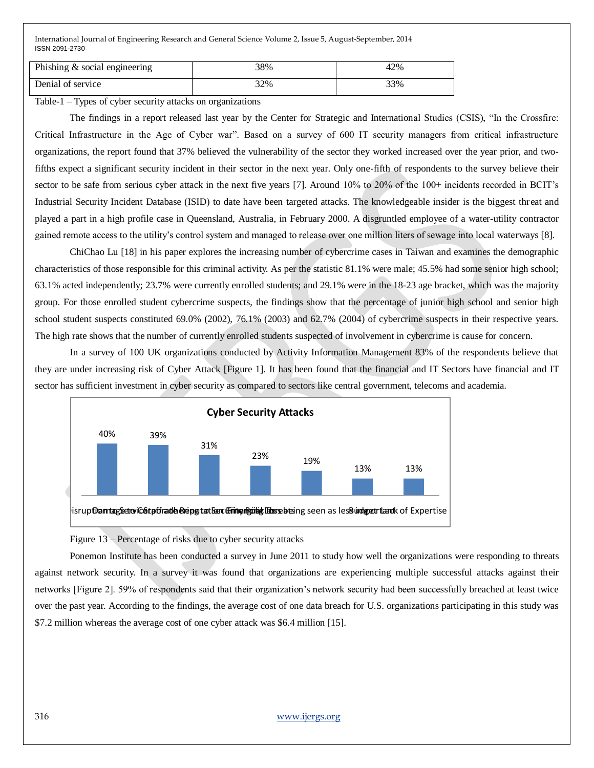| Phishing $&$ social engineering | 38% | 42% |
|---------------------------------|-----|-----|
| Denial of service               | 32% | 33% |

Table-1 – Types of cyber security attacks on organizations

The findings in a report released last year by the Center for Strategic and International Studies (CSIS), "In the Crossfire: Critical Infrastructure in the Age of Cyber war". Based on a survey of 600 IT security managers from critical infrastructure organizations, the report found that 37% believed the vulnerability of the sector they worked increased over the year prior, and twofifths expect a significant security incident in their sector in the next year. Only one-fifth of respondents to the survey believe their sector to be safe from serious cyber attack in the next five years [7]. Around 10% to 20% of the 100+ incidents recorded in BCIT's Industrial Security Incident Database (ISID) to date have been targeted attacks. The knowledgeable insider is the biggest threat and played a part in a high profile case in Queensland, Australia, in February 2000. A disgruntled employee of a water-utility contractor gained remote access to the utility's control system and managed to release over one million liters of sewage into local waterways [8].

ChiChao Lu [18] in his paper explores the increasing number of cybercrime cases in Taiwan and examines the demographic characteristics of those responsible for this criminal activity. As per the statistic 81.1% were male; 45.5% had some senior high school; 63.1% acted independently; 23.7% were currently enrolled students; and 29.1% were in the 18-23 age bracket, which was the majority group. For those enrolled student cybercrime suspects, the findings show that the percentage of junior high school and senior high school student suspects constituted 69.0% (2002), 76.1% (2003) and 62.7% (2004) of cybercrime suspects in their respective years. The high rate shows that the number of currently enrolled students suspected of involvement in cybercrime is cause for concern.

In a survey of 100 UK organizations conducted by Activity Information Management 83% of the respondents believe that they are under increasing risk of Cyber Attack [Figure 1]. It has been found that the financial and IT Sectors have financial and IT sector has sufficient investment in cyber security as compared to sectors like central government, telecoms and academia.



Figure 13 – Percentage of risks due to cyber security attacks

Ponemon Institute has been conducted a survey in June 2011 to study how well the organizations were responding to threats against network security. In a survey it was found that organizations are experiencing multiple successful attacks against their networks [Figure 2]. 59% of respondents said that their organization's network security had been successfully breached at least twice over the past year. According to the findings, the average cost of one data breach for U.S. organizations participating in this study was \$7.2 million whereas the average cost of one cyber attack was \$6.4 million [15].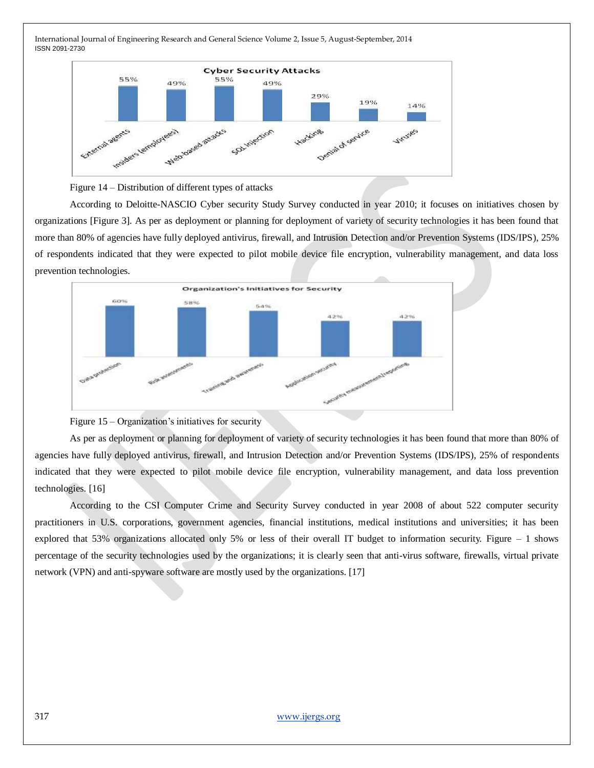



According to Deloitte-NASCIO Cyber security Study Survey conducted in year 2010; it focuses on initiatives chosen by organizations [Figure 3]. As per as deployment or planning for deployment of variety of security technologies it has been found that more than 80% of agencies have fully deployed antivirus, firewall, and Intrusion Detection and/or Prevention Systems (IDS/IPS), 25% of respondents indicated that they were expected to pilot mobile device file encryption, vulnerability management, and data loss prevention technologies.





As per as deployment or planning for deployment of variety of security technologies it has been found that more than 80% of agencies have fully deployed antivirus, firewall, and Intrusion Detection and/or Prevention Systems (IDS/IPS), 25% of respondents indicated that they were expected to pilot mobile device file encryption, vulnerability management, and data loss prevention technologies. [16]

According to the CSI Computer Crime and Security Survey conducted in year 2008 of about 522 computer security practitioners in U.S. corporations, government agencies, financial institutions, medical institutions and universities; it has been explored that 53% organizations allocated only 5% or less of their overall IT budget to information security. Figure – 1 shows percentage of the security technologies used by the organizations; it is clearly seen that anti-virus software, firewalls, virtual private network (VPN) and anti-spyware software are mostly used by the organizations. [17]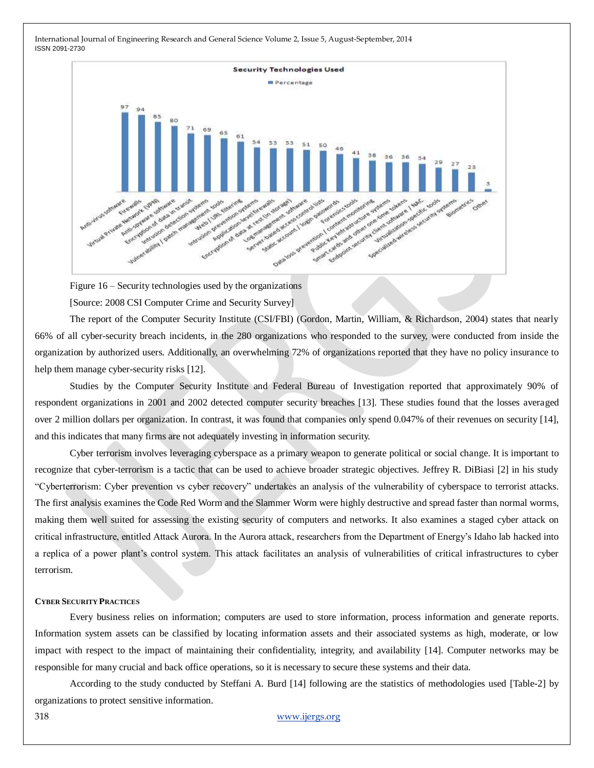

Figure 16 – Security technologies used by the organizations [Source: 2008 CSI Computer Crime and Security Survey]

The report of the Computer Security Institute (CSI/FBI) (Gordon, Martin, William, & Richardson, 2004) states that nearly 66% of all cyber-security breach incidents, in the 280 organizations who responded to the survey, were conducted from inside the organization by authorized users. Additionally, an overwhelming 72% of organizations reported that they have no policy insurance to help them manage cyber-security risks [12].

Studies by the Computer Security Institute and Federal Bureau of Investigation reported that approximately 90% of respondent organizations in 2001 and 2002 detected computer security breaches [13]. These studies found that the losses averaged over 2 million dollars per organization. In contrast, it was found that companies only spend 0.047% of their revenues on security [14], and this indicates that many firms are not adequately investing in information security.

Cyber terrorism involves leveraging cyberspace as a primary weapon to generate political or social change. It is important to recognize that cyber-terrorism is a tactic that can be used to achieve broader strategic objectives. Jeffrey R. DiBiasi [2] in his study ―Cyberterrorism: Cyber prevention vs cyber recovery‖ undertakes an analysis of the vulnerability of cyberspace to terrorist attacks. The first analysis examines the Code Red Worm and the Slammer Worm were highly destructive and spread faster than normal worms, making them well suited for assessing the existing security of computers and networks. It also examines a staged cyber attack on critical infrastructure, entitled Attack Aurora. In the Aurora attack, researchers from the Department of Energy's Idaho lab hacked into a replica of a power plant's control system. This attack facilitates an analysis of vulnerabilities of critical infrastructures to cyber terrorism.

#### **CYBER SECURITY PRACTICES**

Every business relies on information; computers are used to store information, process information and generate reports. Information system assets can be classified by locating information assets and their associated systems as high, moderate, or low impact with respect to the impact of maintaining their confidentiality, integrity, and availability [14]. Computer networks may be responsible for many crucial and back office operations, so it is necessary to secure these systems and their data.

According to the study conducted by Steffani A. Burd [14] following are the statistics of methodologies used [Table-2] by organizations to protect sensitive information.

318 [www.ijergs.org](http://www.ijergs.org/)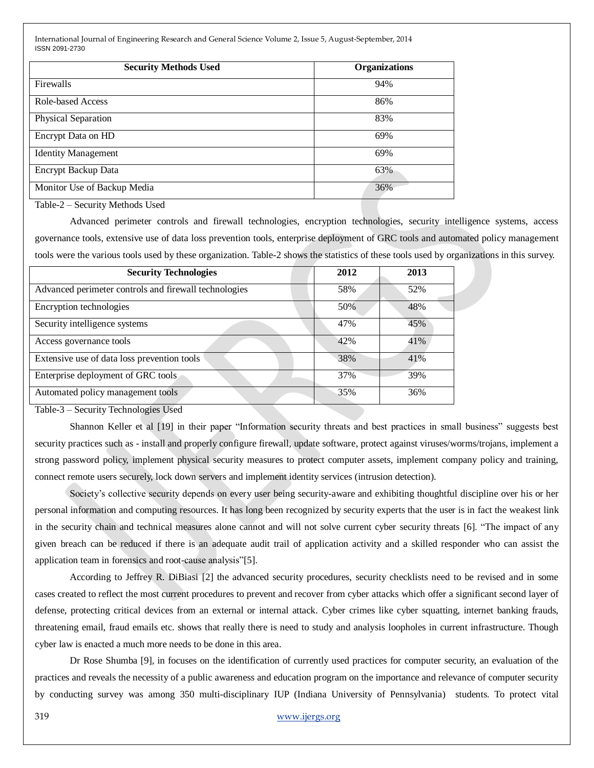| <b>Security Methods Used</b> | <b>Organizations</b> |  |
|------------------------------|----------------------|--|
| Firewalls                    | 94%                  |  |
| <b>Role-based Access</b>     | 86%                  |  |
| Physical Separation          | 83%                  |  |
| Encrypt Data on HD           | 69%                  |  |
| <b>Identity Management</b>   | 69%                  |  |
| Encrypt Backup Data          | 63%                  |  |
| Monitor Use of Backup Media  | 36%                  |  |

Table-2 – Security Methods Used

Advanced perimeter controls and firewall technologies, encryption technologies, security intelligence systems, access governance tools, extensive use of data loss prevention tools, enterprise deployment of GRC tools and automated policy management tools were the various tools used by these organization. Table-2 shows the statistics of these tools used by organizations in this survey.

| <b>Security Technologies</b>                          | 2012 | 2013 |
|-------------------------------------------------------|------|------|
| Advanced perimeter controls and firewall technologies | 58%  | 52%  |
| Encryption technologies                               | 50%  | 48%  |
| Security intelligence systems                         | 47%  | 45%  |
| Access governance tools                               | 42%  | 41%  |
| Extensive use of data loss prevention tools           | 38%  | 41%  |
| Enterprise deployment of GRC tools                    | 37%  | 39%  |
| Automated policy management tools                     | 35%  | 36%  |

Table-3 – Security Technologies Used

Shannon Keller et al [19] in their paper "Information security threats and best practices in small business" suggests best security practices such as - install and properly configure firewall, update software, protect against viruses/worms/trojans, implement a strong password policy, implement physical security measures to protect computer assets, implement company policy and training, connect remote users securely, lock down servers and implement identity services (intrusion detection).

Society's collective security depends on every user being security-aware and exhibiting thoughtful discipline over his or her personal information and computing resources. It has long been recognized by security experts that the user is in fact the weakest link in the security chain and technical measures alone cannot and will not solve current cyber security threats [6]. "The impact of any given breach can be reduced if there is an adequate audit trail of application activity and a skilled responder who can assist the application team in forensics and root-cause analysis"[5].

According to Jeffrey R. DiBiasi [2] the advanced security procedures, security checklists need to be revised and in some cases created to reflect the most current procedures to prevent and recover from cyber attacks which offer a significant second layer of defense, protecting critical devices from an external or internal attack. Cyber crimes like cyber squatting, internet banking frauds, threatening email, fraud emails etc. shows that really there is need to study and analysis loopholes in current infrastructure. Though cyber law is enacted a much more needs to be done in this area.

Dr Rose Shumba [9], in focuses on the identification of currently used practices for computer security, an evaluation of the practices and reveals the necessity of a public awareness and education program on the importance and relevance of computer security by conducting survey was among 350 multi-disciplinary IUP (Indiana University of Pennsylvania) students. To protect vital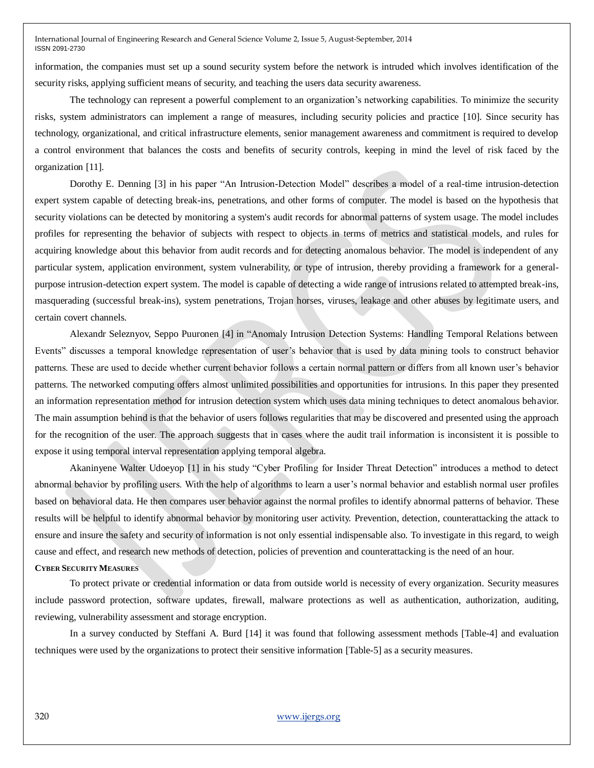information, the companies must set up a sound security system before the network is intruded which involves identification of the security risks, applying sufficient means of security, and teaching the users data security awareness.

The technology can represent a powerful complement to an organization's networking capabilities. To minimize the security risks, system administrators can implement a range of measures, including security policies and practice [10]. Since security has technology, organizational, and critical infrastructure elements, senior management awareness and commitment is required to develop a control environment that balances the costs and benefits of security controls, keeping in mind the level of risk faced by the organization [11].

Dorothy E. Denning [3] in his paper "An Intrusion-Detection Model" describes a model of a real-time intrusion-detection expert system capable of detecting break-ins, penetrations, and other forms of computer. The model is based on the hypothesis that security violations can be detected by monitoring a system's audit records for abnormal patterns of system usage. The model includes profiles for representing the behavior of subjects with respect to objects in terms of metrics and statistical models, and rules for acquiring knowledge about this behavior from audit records and for detecting anomalous behavior. The model is independent of any particular system, application environment, system vulnerability, or type of intrusion, thereby providing a framework for a generalpurpose intrusion-detection expert system. The model is capable of detecting a wide range of intrusions related to attempted break-ins, masquerading (successful break-ins), system penetrations, Trojan horses, viruses, leakage and other abuses by legitimate users, and certain covert channels.

Alexandr Seleznyov, Seppo Puuronen [4] in "Anomaly Intrusion Detection Systems: Handling Temporal Relations between Events‖ discusses a temporal knowledge representation of user's behavior that is used by data mining tools to construct behavior patterns. These are used to decide whether current behavior follows a certain normal pattern or differs from all known user's behavior patterns. The networked computing offers almost unlimited possibilities and opportunities for intrusions. In this paper they presented an information representation method for intrusion detection system which uses data mining techniques to detect anomalous behavior. The main assumption behind is that the behavior of users follows regularities that may be discovered and presented using the approach for the recognition of the user. The approach suggests that in cases where the audit trail information is inconsistent it is possible to expose it using temporal interval representation applying temporal algebra.

Akaninyene Walter Udoeyop [1] in his study "Cyber Profiling for Insider Threat Detection" introduces a method to detect abnormal behavior by profiling users. With the help of algorithms to learn a user's normal behavior and establish normal user profiles based on behavioral data. He then compares user behavior against the normal profiles to identify abnormal patterns of behavior. These results will be helpful to identify abnormal behavior by monitoring user activity. Prevention, detection, counterattacking the attack to ensure and insure the safety and security of information is not only essential indispensable also. To investigate in this regard, to weigh cause and effect, and research new methods of detection, policies of prevention and counterattacking is the need of an hour. **CYBER SECURITY MEASURES**

To protect private or credential information or data from outside world is necessity of every organization. Security measures include password protection, software updates, firewall, malware protections as well as authentication, authorization, auditing, reviewing, vulnerability assessment and storage encryption.

In a survey conducted by Steffani A. Burd [14] it was found that following assessment methods [Table-4] and evaluation techniques were used by the organizations to protect their sensitive information [Table-5] as a security measures.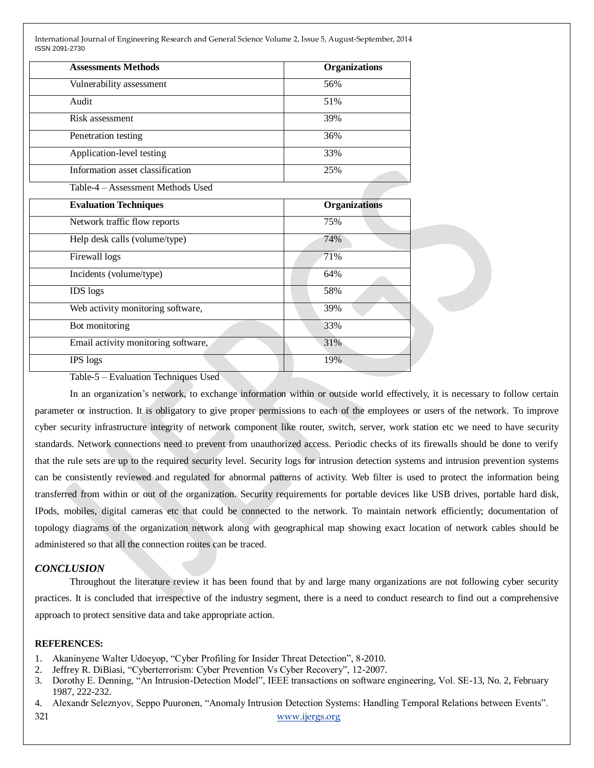| <b>Assessments Methods</b>        | <b>Organizations</b> |
|-----------------------------------|----------------------|
| Vulnerability assessment          | 56%                  |
| Audit                             | 51%                  |
| Risk assessment                   | 39%                  |
| Penetration testing               | 36%                  |
| Application-level testing         | 33%                  |
| Information asset classification  | 25%                  |
| Table-4 – Assessment Methods Used |                      |

| <b>Evaluation Techniques</b>        | <b>Organizations</b> |
|-------------------------------------|----------------------|
| Network traffic flow reports        | 75%                  |
| Help desk calls (volume/type)       | 74%                  |
| Firewall logs                       | 71%                  |
| Incidents (volume/type)             | 64%                  |
| <b>IDS</b> logs                     | 58%                  |
| Web activity monitoring software,   | 39%                  |
| Bot monitoring                      | 33%                  |
| Email activity monitoring software, | 31%                  |
| <b>IPS</b> logs                     | 19%                  |

Table-5 – Evaluation Techniques Used

In an organization's network, to exchange information within or outside world effectively, it is necessary to follow certain parameter or instruction. It is obligatory to give proper permissions to each of the employees or users of the network. To improve cyber security infrastructure integrity of network component like router, switch, server, work station etc we need to have security standards. Network connections need to prevent from unauthorized access. Periodic checks of its firewalls should be done to verify that the rule sets are up to the required security level. Security logs for intrusion detection systems and intrusion prevention systems can be consistently reviewed and regulated for abnormal patterns of activity. Web filter is used to protect the information being transferred from within or out of the organization. Security requirements for portable devices like USB drives, portable hard disk, IPods, mobiles, digital cameras etc that could be connected to the network. To maintain network efficiently; documentation of topology diagrams of the organization network along with geographical map showing exact location of network cables should be administered so that all the connection routes can be traced.

## *CONCLUSION*

Throughout the literature review it has been found that by and large many organizations are not following cyber security practices. It is concluded that irrespective of the industry segment, there is a need to conduct research to find out a comprehensive approach to protect sensitive data and take appropriate action.

## **REFERENCES:**

- 1. Akaninyene Walter Udoeyop, "Cyber Profiling for Insider Threat Detection", 8-2010.
- 2. Jeffrey R. DiBiasi, "Cyberterrorism: Cyber Prevention Vs Cyber Recovery", 12-2007.
- 3. Dorothy E. Denning, "An Intrusion-Detection Model", IEEE transactions on software engineering, Vol. SE-13, No. 2, February 1987, 222-232.
- 321 [www.ijergs.org](http://www.ijergs.org/) 4. Alexandr Seleznyov, Seppo Puuronen, "Anomaly Intrusion Detection Systems: Handling Temporal Relations between Events".